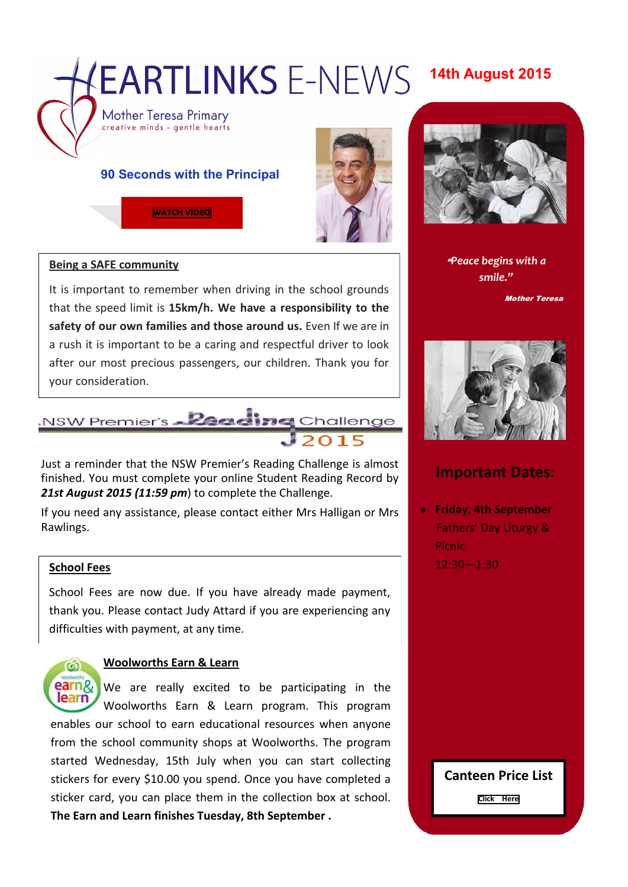# EARTLINKS E-NEWS 14th August 2015

Mother Teresa Primary creative minds - gentle hearts

### **90 Seconds with the Principal**

**[WATCH VIDEO](https://youtu.be/Maf4N4hcBxE)**



#### **Being a SAFE community**

It is important to remember when driving in the school grounds that the speed limit is **15km/h. We have a responsibility to the safety of our own families and those around us.** Even If we are in a rush it is important to be a caring and respectful driver to look after our most precious passengers, our children. Thank you for your consideration.



Just a reminder that the NSW Premier's Reading Challenge is almost finished. You must complete your online Student Reading Record by *21st August 2015 (11:59 pm*) to complete the Challenge.

If you need any assistance, please contact either Mrs Halligan or Mrs Rawlings.

# **School Fees** 12:30—1:30

School Fees are now due. If you have already made payment, thank you. Please contact Judy Attard if you are experiencing any difficulties with payment, at any time.



#### **Woolworths Earn & Learn**

We are really excited to be participating in the Woolworths Earn & Learn program. This program enables our school to earn educational resources when anyone from the school community shops at Woolworths. The program started Wednesday, 15th July when you can start collecting stickers for every \$10.00 you spend. Once you have completed a sticker card, you can place them in the collection box at school. **The Earn and Learn finishes Tuesday, 8th September .**



"*Peace begins with a smile."*

Mother Teresa



# **Important Dates:**

**Friday, 4th September** Fathers' Day Liturgy & Picnic

**Canteen Price List**

**[Click Here](http://www.motherteresawestmead.catholic.edu.au/SiteData/208/UserFiles/PublicationLinks/Canteen%20Menu%202015.pdf)**